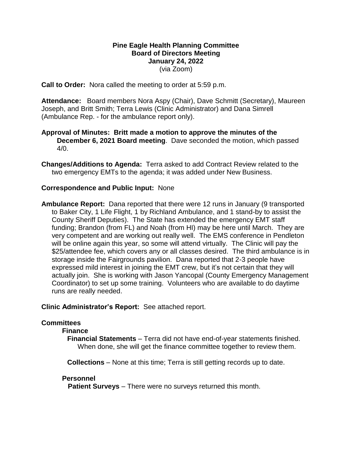## **Pine Eagle Health Planning Committee Board of Directors Meeting January 24, 2022** (via Zoom)

**Call to Order:** Nora called the meeting to order at 5:59 p.m.

**Attendance:** Board members Nora Aspy (Chair), Dave Schmitt (Secretary), Maureen Joseph, and Britt Smith; Terra Lewis (Clinic Administrator) and Dana Simrell (Ambulance Rep. - for the ambulance report only).

## **Approval of Minutes: Britt made a motion to approve the minutes of the December 6, 2021 Board meeting**. Dave seconded the motion, which passed  $4/0.$

**Changes/Additions to Agenda:** Terra asked to add Contract Review related to the two emergency EMTs to the agenda; it was added under New Business.

### **Correspondence and Public Input:** None

**Ambulance Report:** Dana reported that there were 12 runs in January (9 transported to Baker City, 1 Life Flight, 1 by Richland Ambulance, and 1 stand-by to assist the County Sheriff Deputies). The State has extended the emergency EMT staff funding; Brandon (from FL) and Noah (from HI) may be here until March. They are very competent and are working out really well. The EMS conference in Pendleton will be online again this year, so some will attend virtually. The Clinic will pay the \$25/attendee fee, which covers any or all classes desired. The third ambulance is in storage inside the Fairgrounds pavilion. Dana reported that 2-3 people have expressed mild interest in joining the EMT crew, but it's not certain that they will actually join. She is working with Jason Yancopal (County Emergency Management Coordinator) to set up some training. Volunteers who are available to do daytime runs are really needed.

**Clinic Administrator's Report:** See attached report.

### **Committees**

#### **Finance**

**Financial Statements** – Terra did not have end-of-year statements finished. When done, she will get the finance committee together to review them.

**Collections** – None at this time; Terra is still getting records up to date.

#### **Personnel**

 **Patient Surveys** – There were no surveys returned this month.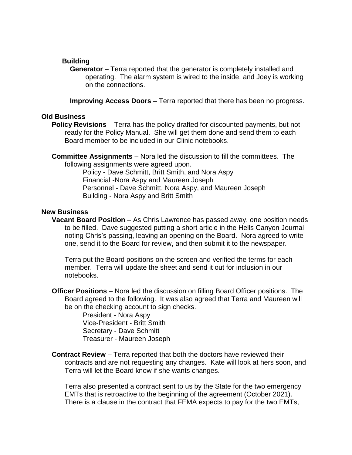## **Building**

**Generator** – Terra reported that the generator is completely installed and operating. The alarm system is wired to the inside, and Joey is working on the connections.

**Improving Access Doors** – Terra reported that there has been no progress.

### **Old Business**

**Policy Revisions** – Terra has the policy drafted for discounted payments, but not ready for the Policy Manual. She will get them done and send them to each Board member to be included in our Clinic notebooks.

**Committee Assignments** – Nora led the discussion to fill the committees. The following assignments were agreed upon.

Policy - Dave Schmitt, Britt Smith, and Nora Aspy Financial -Nora Aspy and Maureen Joseph Personnel - Dave Schmitt, Nora Aspy, and Maureen Joseph Building - Nora Aspy and Britt Smith

### **New Business**

**Vacant Board Position** – As Chris Lawrence has passed away, one position needs to be filled. Dave suggested putting a short article in the Hells Canyon Journal noting Chris's passing, leaving an opening on the Board. Nora agreed to write one, send it to the Board for review, and then submit it to the newspaper.

Terra put the Board positions on the screen and verified the terms for each member. Terra will update the sheet and send it out for inclusion in our notebooks.

**Officer Positions** – Nora led the discussion on filling Board Officer positions. The Board agreed to the following. It was also agreed that Terra and Maureen will be on the checking account to sign checks.

> President - Nora Aspy Vice-President - Britt Smith Secretary - Dave Schmitt Treasurer - Maureen Joseph

**Contract Review** – Terra reported that both the doctors have reviewed their contracts and are not requesting any changes. Kate will look at hers soon, and Terra will let the Board know if she wants changes.

Terra also presented a contract sent to us by the State for the two emergency EMTs that is retroactive to the beginning of the agreement (October 2021). There is a clause in the contract that FEMA expects to pay for the two EMTs,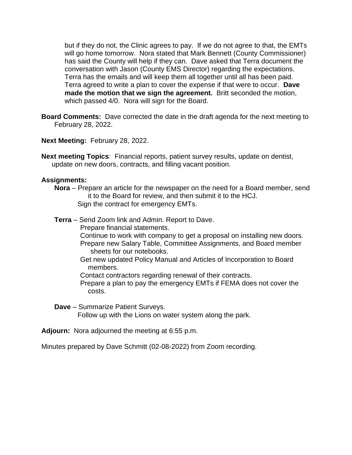but if they do not, the Clinic agrees to pay. If we do not agree to that, the EMTs will go home tomorrow. Nora stated that Mark Bennett (County Commissioner) has said the County will help if they can. Dave asked that Terra document the conversation with Jason (County EMS Director) regarding the expectations. Terra has the emails and will keep them all together until all has been paid. Terra agreed to write a plan to cover the expense if that were to occur. **Dave made the motion that we sign the agreement.** Britt seconded the motion, which passed 4/0. Nora will sign for the Board.

**Board Comments:** Dave corrected the date in the draft agenda for the next meeting to February 28, 2022.

**Next Meeting:** February 28, 2022.

**Next meeting Topics**: Financial reports, patient survey results, update on dentist, update on new doors, contracts, and filling vacant position.

#### **Assignments:**

**Nora** – Prepare an article for the newspaper on the need for a Board member, send it to the Board for review, and then submit it to the HCJ. Sign the contract for emergency EMTs.

**Terra** – Send Zoom link and Admin. Report to Dave. Prepare financial statements. Continue to work with company to get a proposal on installing new doors. Prepare new Salary Table, Committee Assignments, and Board member sheets for our notebooks. Get new updated Policy Manual and Articles of Incorporation to Board

- members.
- Contact contractors regarding renewal of their contracts.
- Prepare a plan to pay the emergency EMTs if FEMA does not cover the costs.

**Dave** – Summarize Patient Surveys.

Follow up with the Lions on water system along the park.

**Adjourn:** Nora adjourned the meeting at 6:55 p.m.

Minutes prepared by Dave Schmitt (02-08-2022) from Zoom recording.